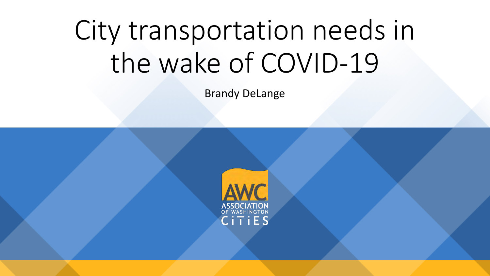# City transportation needs in the wake of COVID-19

Brandy DeLange

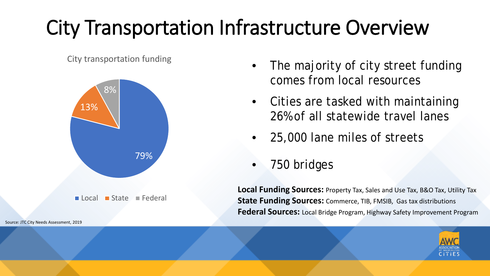### City Transportation Infrastructure Overview

City transportation funding



Source: JTC City Needs Assessment, 2019

- The majority of city street funding comes from local resources
- Cities are tasked with maintaining 26% of all statewide travel lanes
- 25,000 lane miles of streets
- 750 bridges

**Local Funding Sources:** Property Tax, Sales and Use Tax, B&O Tax, Utility Tax **State Funding Sources:** Commerce, TIB, FMSIB, Gas tax distributions **Federal Sources:** Local Bridge Program, Highway Safety Improvement Program

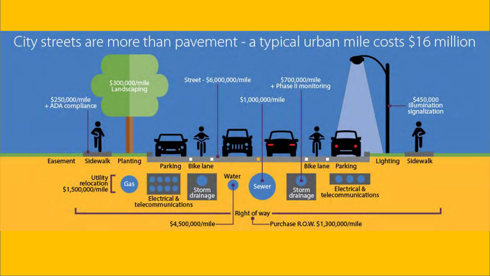#### City streets are more than pavement - a typical urban mile costs \$16 million

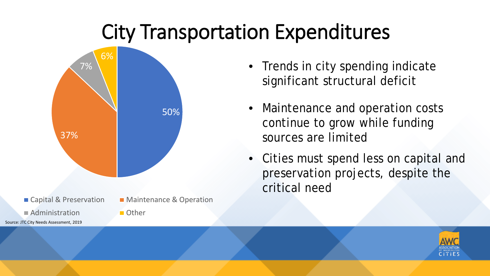#### City Transportation Expenditures



- Trends in city spending indicate significant structural deficit
- Maintenance and operation costs continue to grow while funding sources are limited
- Cities must spend less on capital and preservation projects, despite the critical need

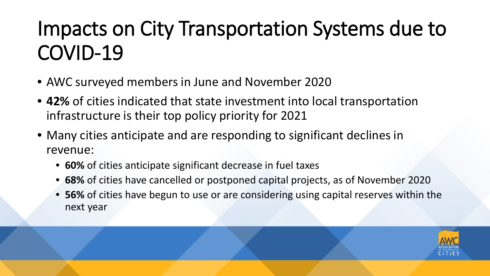### Impacts on City Transportation Systems due to COVID-19

- AWC surveyed members in June and November 2020
- **42%** of cities indicated that state investment into local transportation infrastructure is their top policy priority for 2021
- Many cities anticipate and are responding to significant declines in revenue:
	- **60%** of cities anticipate significant decrease in fuel taxes
	- **68%** of cities have cancelled or postponed capital projects, as of November 2020
	- **56%** of cities have begun to use or are considering using capital reserves within the next year

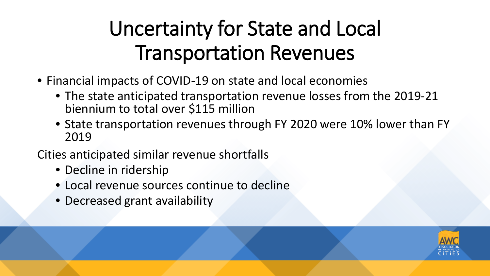#### Uncertainty for State and Local Transportation Revenues

- Financial impacts of COVID-19 on state and local economies
	- The state anticipated transportation revenue losses from the 2019-21 biennium to total over \$115 million
	- State transportation revenues through FY 2020 were 10% lower than FY 2019
- Cities anticipated similar revenue shortfalls
	- Decline in ridership
	- Local revenue sources continue to decline
	- Decreased grant availability

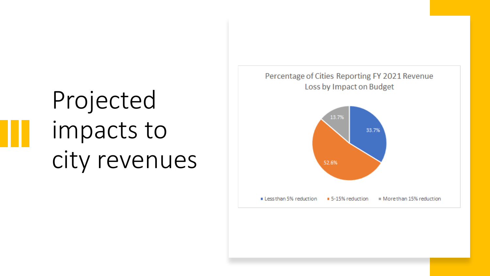## Projected impacts to city revenues

#### Percentage of Cities Reporting FY 2021 Revenue Loss by Impact on Budget

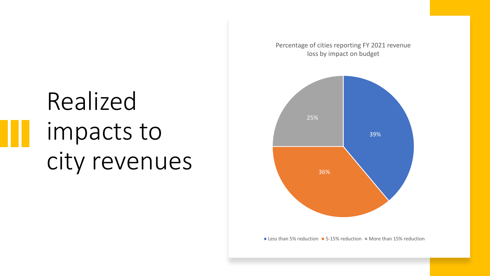Realized impacts to city revenues Percentage of cities reporting FY 2021 revenue loss by impact on budget



**Less than 5% reduction**  $\blacksquare$  **5-15% reduction**  $\blacksquare$  More than 15% reduction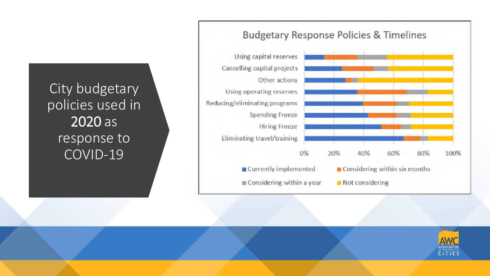City budgetary policies used in 2020 as response to COVID-19



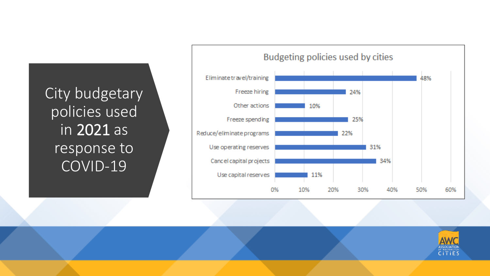City budgetary policies used in 2021 as response to COVID-19



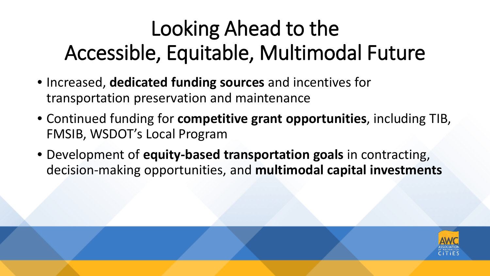## Looking Ahead to the Accessible, Equitable, Multimodal Future

- Increased, **dedicated funding sources** and incentives for transportation preservation and maintenance
- Continued funding for **competitive grant opportunities**, including TIB, FMSIB, WSDOT's Local Program
- Development of **equity-based transportation goals** in contracting, decision-making opportunities, and **multimodal capital investments**

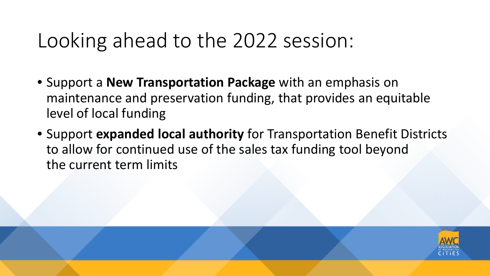#### Looking ahead to the 2022 session:

- Support a **New Transportation Package** with an emphasis on maintenance and preservation funding, that provides an equitable level of local funding
- Support **expanded local authority** for Transportation Benefit Districts to allow for continued use of the sales tax funding tool beyond the current term limits